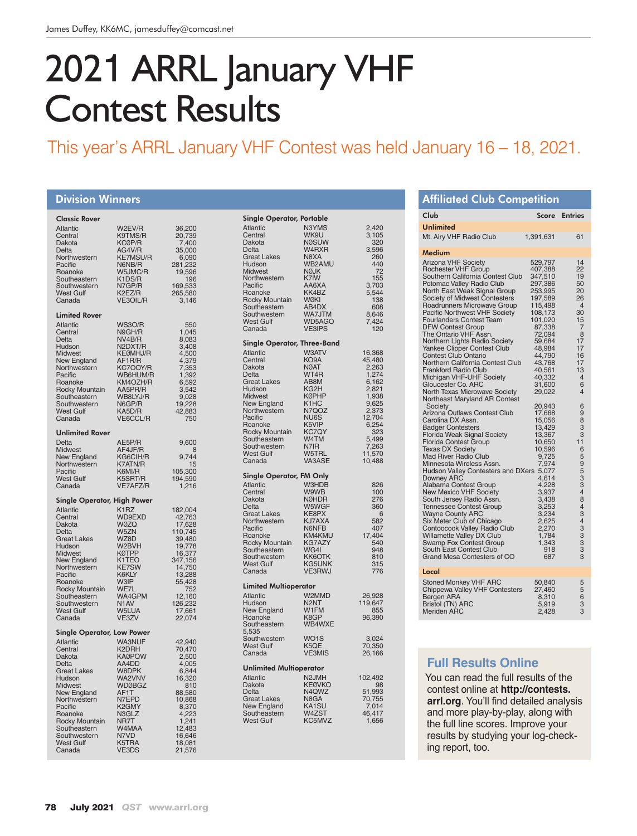# 2021 ARRL January VHF Contest Results

## This year's ARRL January VHF Contest was held January 16 – 18, 2021.

#### Division Winners Classic Rover Atlantic W2EV/R 36,200<br>
Central K9TMS/R 20,739<br>
Dakota KCØP/R 7,400 Central K9TMS/R<br>Dakota KCØP/R Dakota KCØP/R<br>Delta KCØP/R Delta <br>  $\overline{AGAV/R}$  35,000<br>
Northwestern KE7MSU/R 6.090 Northwestern KE7MSU/R 6,090<br>Pacific N6NB/R 281.232 Pacific N6NB/R 281,232<br>Roanoke W5JMC/R 19,596 W5JMC/R 19,596<br>K1DS/R 196 Southeastern K1DS/R 196<br>Southwestern N7GP/R 169.533 Southwestern N7GP/R 169,533<br>West Gulf K2EZ/R 265,580 West Gulf K2EZ/R 265,580 VE3OIL/R Limited Rover Atlantic WS3O/R 550 Central N9GH/R 1,045 Neather N9GH/R 1,045<br>
Delta NV4B/R 8,083<br>
Hudson N2DXT/R 3,408<br>
Midwest KEØMHJ/R 4,500 Hudson N2DXT/R<br>Midwest KEØMHJ/ KEØMHJ/R 4,500<br>AF1R/R 4,379 New England AF1R/R 4,379<br>Northwestern KC7OOY/R 7,353 Northwestern KC7OOY/R 7,353<br>Pacific WB6HUM/R 1.392 Pacific WB6HUM/R 1,392<br>Roanoke KM4OZH/R 6,592 ROANOVALLAND 6,592<br>
RASPR/R 3,542<br>
ROBALYJ/R 9,028 Rocky Mountain AA5PR/R 3,542 Southeastern WB8LYJ/R 9,028 Southwestern N6GP/R 19,228<br>West Gulf KA5D/R 42,883 West Gulf KA5D/R 42,883<br>Canada VE6CCL/R 750 VE6CCL/R Unlimited Rover AE5P/R 9,600<br>AF4JF/R 8 Delta AE5P/R 9,600<br>Midwest AF4JF/R 8<br>New England KG6CIH/R 9,744 New England KG6CIH/R 9,744<br>Northwestern K7ATN/R 15<br>Pacific K6MI/R 105,300 Northwestern K7ATN/R 15 Pacific K6MI/R 105,300 West Gulf K5SRT/R 194,590<br>Canada VE7AFZ/R 1.216 VE7AFZ/R Single Operator, High Power Atlantic K1RZ 182,004<br>Central WD9EXD 42,763<br>Dakota W0ZQ 17,628 Central WD9EXD 42,763 Dakota WØZQ 17,628 Delta W5ZN 110,745<br>Great Lakes WZ8D 39,480 Great Lakes WZ8D 39,480<br>Hudson W2BVH 19,778 Hudson W2BVH 19,778 Midwest KØTPP 16,377<br>
New England K1TEO 347,156<br>
Northwestern KE7SW 14,750 New England K1TEO<br>Northwestern KE7SW Northwestern KE7SW<br>Pacific K6KLY K6KLY 13,288<br>W3IP 55,428 Roanoke W3IP 55,428<br>Rocky Mountain WE7L 752 Rocky Mountain WE7L 752<br>Southeastern WA4GPM 12,160 Southeastern WA4GPM 12,160<br>Southwestern N1AV 126,232<br>West Gulf W5LUA 17,661 Southwestern N1AV 126,232 West Gulf W5LUA 17,661 Canada VE3ZV 22,074 Single Operator, Low Power Atlantic WA3NUF 42,940<br>Central K2DRH 70,470 K2DRH 70,470<br>
KA0PQW 2,500<br>
AA4DD 4,005 Dakota<br>Delta AA4DD 4,005<br>W8DPK 6,844 Great Lakes W8DPK 6,844<br>Hudson WA2VNV 16,320 Hudson WA2VNV 16,320<br>Midwest WDØBGZ 810 WDØBGZ 810<br>AF1T 88.580 New England AF1T 88,580<br>Northwestern N7EPD 10,868 Northwestern N7EPD 10,868<br>Pacific K2GMY 8.370 Pacific K2GMY 8,370<br>Roanoke N3GLZ 4,223 Roanoke N3GLZ 4,223<br>
Rocky Mountain NR7T 1,241<br>
Southeastern W4MAA 12,483 Rocky Mountain Southeastern W4MAA 12,483<br>Southwestern N7VD 16,646 Southwestern N7VD 16,646<br>West Gulf K5TRA 18.081 West Gulf K5TRA 18,081 Canada VE3DS 21,576 Single Operator, Portable Atlantic N3YMS 2,420<br>Central WK9U 3.105 Central WK9U 3,105<br>Dakota NØSUW 320 Dakota NØSUW 320<br>Delta W4RXR 3.596 Delta W4RXR 3,596 Great Lakes N8XA 260 Hudson WB2AMU 440 Hudson WB2AMU 440<br>Midwest NØJK 72<br>Northwestern K7IW 155 Northwestern K7IW 155<br>Pacific AA6XA 3.703 AA6XA 3,703<br>KK4BZ 5,544 Roanoke KK4BZ 5,544<br>Rocky Mountain W0KI 138 Rocky Mountain WØKI 138<br>Southeastern AB4DX 608 Southeastern AB4DX 608<br>Southwestern WA7JTM 8,646 Southwestern WA7JTM 8,646<br>West Gulf WD5AGO 7,424<br>Canada VE3IPS 120 West Gulf WD5AGO<br>Canada VE3IPS VE3IPS Single Operator, Three-Band<br>Atlantic W3ATV<br>Central KO9A Atlantic W3ATV 16,368 Central KO9A 45,480 Dakota NØAT 2,263<br>Delta WT4R 1.274 WT4R 1,274<br>AB8M 6,162 Great Lakes AB8M 6,162<br>
Hudson KG2H 2.821 Hudson KG2H 2,821 Midwest KØPHP 1,938<br>New England K1HC 9,625<br>Northwestern N7QOZ 2.373 New England K1HC<br>Northwestern N7QOZ Northwestern N7QOZ 2,373<br>Pacific NU6S 12,704 Pacific NU6S<br>
R5VIP 6.254 Roanoke K5VIP 6,254<br>Rocky Mountain KC7QY 323 Rocky Mountain KC7QY<br>
Southeastern W4TM 5,499<br>
Southwestern N7IR 7,263 Southeastern W4TM<br>Southwestern N7IR Southwestern N7IR 7,263<br>West Gulf W5TRL 11,570 West Gulf W5TRL 11,570<br>Canada VA3ASE 10.488 Canada Single Operator, FM Only Atlantic W3HDB 826<br>
Central W9WB 100<br>
Dakota NØHDR 276 Central W9WB 100 Dakota NØHDR 276 Delta W5WGF 360<br>Great Lakes KE8PX 6 Great Lakes KE8PX 6<br>Northwestern KJ7AXA 582 Northwestern KJ7AXA 582<br>Pacific N6NFB 407 Pacific N6NFB 407<br>Roanoke KM4KMU 17,404 Roanoke KM4KMU 17,404<br>Rocky Mountain KG747Y 540 Rocky Mountain KG7AZY 540<br>Southeastern WG4I 948 Southeastern WG4I 948<br>Southwestern KK6OTK 810 Southwestern KK6OTK 810<br>West Gulf KG5UNK 315 West Gulf KG5UNK 315<br>Canada VE3RWJ 776 VE3RWJ Limited Multioperator Atlantic W2MMD 26,928 Hudson N2NT 119,647<br>New England W1FM 855 New England W1FM 855<br>Boanoke K8GP 96.390 Roanoke K8GP<br>Southeastern WB4WXE Southeastern 5,535 Southwestern WO1S 3,024 West Gulf K5QE 70,350<br>Canada VE3MIS 26,166 Canada Unlimited Multioperator Atlantic  $\begin{array}{ccc}\n\text{Atlantic} & \text{A2JMH} & \text{102,492} \\
\text{Dakota} & \text{KEØVKO} & \text{98} \\
\text{Delta} & \text{N4QWZ} & \text{51,993}\n\end{array}$ Dakota KEØVKO 98 Delta N4QWZ 51,993 Great Lakes N8GA 70,755<br>
New England KA1SU 7,014<br>
Southeastern W4ZST 46,417 New England KA1SU<br>Southeastern W4ZST Southeastern W4ZST 46,417<br>West Gulf KC5MVZ 1.656 West Gulf

| <b>Affiliated Club Competition</b>                           |                    |                      |
|--------------------------------------------------------------|--------------------|----------------------|
| Club                                                         | Score              | <b>Entries</b>       |
| <b>Unlimited</b>                                             |                    |                      |
| Mt. Airy VHF Radio Club                                      | 1,391,631          | 61                   |
| Medium                                                       |                    |                      |
| <b>Arizona VHF Society</b>                                   | 529,797            | 14                   |
| Rochester VHF Group<br>Southern California Contest Club      | 407,388<br>347,510 | 22<br>19             |
| Potomac Valley Radio Club                                    | 297,386            | 50                   |
| North East Weak Signal Group                                 | 253,995            | 20                   |
| Society of Midwest Contesters                                | 197,589            | 26                   |
| Roadrunners Microwave Group<br>Pacific Northwest VHF Society | 115,498<br>108,173 | $\overline{4}$<br>30 |
| <b>Fourlanders Contest Team</b>                              | 101,020            | 15                   |
| <b>DFW Contest Group</b>                                     | 87,338             | $\overline{7}$       |
| The Ontario VHF Assn.                                        | 72,094             | 8                    |
| Northern Lights Radio Society<br>Yankee Clipper Contest Club | 59,684<br>48,984   | 17<br>17             |
| <b>Contest Club Ontario</b>                                  | 44,790             | 16                   |
| Northern California Contest Club                             | 43,768             | 17                   |
| <b>Frankford Radio Club</b>                                  | 40,561             | 13                   |
| Michigan VHF-UHF Society<br>Gloucester Co. ARC               | 40,332<br>31,600   | $\overline{4}$<br>6  |
| North Texas Microwave Society                                | 29,022             | $\overline{4}$       |
| Northeast Maryland AR Contest                                |                    |                      |
| Society                                                      | 20,943             | 6                    |
| Arizona Outlaws Contest Club<br>Carolina DX Assn.            | 17,668<br>15,056   | 9<br>8               |
| <b>Badger Contesters</b>                                     | 13,429             | 3                    |
| Florida Weak Signal Society                                  | 13,367             | 3                    |
| Florida Contest Group                                        | 10,650             | 11                   |
| <b>Texas DX Society</b><br><b>Mad River Radio Club</b>       | 10,596<br>9,725    | 6<br>5               |
| Minnesota Wireless Assn.                                     | 7,974              | 9                    |
| Hudson Valley Contesters and DXers 5,077                     |                    | 5                    |
| <b>Downey ARC</b>                                            | 4,614              | 3                    |
| Alabama Contest Group<br>New Mexico VHF Society              | 4,228<br>3,937     | 3<br>$\overline{4}$  |
|                                                              | 3,438              | 8                    |
| South Jersey Radio Assn.<br>Tennessee Contest Group          | 3,253              | $\overline{4}$       |
| Wayne County ARC                                             | 3,234              | 3                    |
| Six Meter Club of Chicago<br>Contoocook Valley Radio Club    | 2,625<br>2,270     | $\overline{4}$       |
| Willamette Valley DX Club                                    | 1,784              | 333                  |
| Swamp Fox Contest Group                                      | 1,343              |                      |
| South East Contest Club<br>Grand Mesa Contesters of CO       | 918<br>687         | $\overline{3}$<br>3  |
|                                                              |                    |                      |
| Local                                                        |                    |                      |
| Stoned Monkey VHF ARC<br>Chippewa Valley VHF Contesters      | 50,840<br>27,460   | 5<br>5               |
| Bergen ARA                                                   | 8,310              | 6                    |
| <b>Bristol (TN) ARC</b>                                      | 5,919              | 3                    |
| <b>Meriden ARC</b>                                           | 2,428              | 3                    |
|                                                              |                    |                      |
|                                                              |                    |                      |

## **Full Results Online**

You can read the full results of the contest online at **http://contests. arrl.org**. You'll find detailed analysis and more play-by-play, along with the full line scores. Improve your results by studying your log-checking report, too.